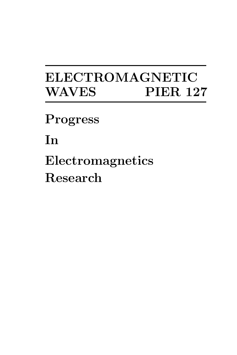# ELECTROMAGNETIC WAVES PIER 127

Progress

In

Electromagnetics Research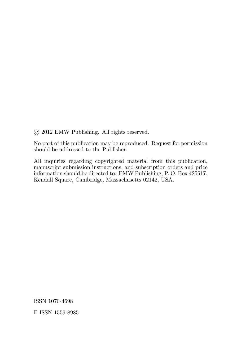°c 2012 EMW Publishing. All rights reserved.

No part of this publication may be reproduced. Request for permission should be addressed to the Publisher.

All inquiries regarding copyrighted material from this publication, manuscript submission instructions, and subscription orders and price information should be directed to: EMW Publishing, P. O. Box 425517, Kendall Square, Cambridge, Massachusetts 02142, USA.

ISSN 1070-4698

E-ISSN 1559-8985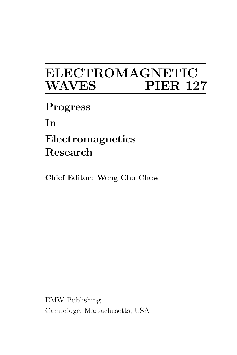# ELECTROMAGNETIC **PIER 127**

Progress

In

# Electromagnetics Research

Chief Editor: Weng Cho Chew

EMW Publishing Cambridge, Massachusetts, USA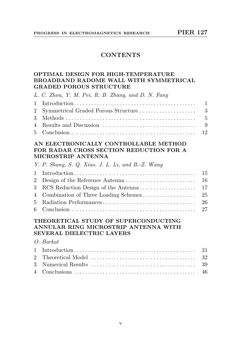#### **CONTENTS**

#### OPTIMAL DESIGN FOR HIGH-TEMPERATURE BROADBAND RADOME WALL WITH SYMMETRICAL GRADED POROUS STRUCTURE

| L. C. Zhou, Y. M. Pei, R. B. Zhang, and D. N. Fang |  |
|----------------------------------------------------|--|
|                                                    |  |
|                                                    |  |
|                                                    |  |
|                                                    |  |
|                                                    |  |

#### AN ELECTRONICALLY CONTROLLABLE METHOD FOR RADAR CROSS SECTION REDUCTION FOR A MICROSTRIP ANTENNA

|  |  |  |  | Y. P. Shang, S. Q. Xiao, J. L. Li, and B.-Z. Wang |  |
|--|--|--|--|---------------------------------------------------|--|
|  |  |  |  |                                                   |  |

#### THEORETICAL STUDY OF SUPERCONDUCTING ANNULAR RING MICROSTRIP ANTENNA WITH SEVERAL DIELECTRIC LAYERS

#### O. Barkat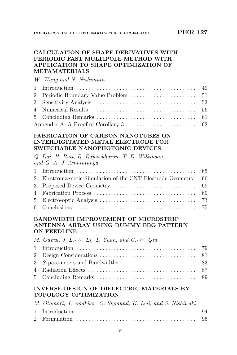#### CALCULATION OF SHAPE DERIVATIVES WITH PERIODIC FAST MULTIPOLE METHOD WITH APPLICATION TO SHAPE OPTIMIZATION OF METAMATERIALS

W. Wang and N. Nishimura

| Appendix A. A Proof of Corollary $3 \ldots \ldots \ldots \ldots \ldots \ldots \ldots \ldots$ 62 |  |
|-------------------------------------------------------------------------------------------------|--|

#### FABRICATION OF CARBON NANOTUBES ON INTERDIGITATED METAL ELECTRODE FOR SWITCHABLE NANOPHOTONIC DEVICES

Q. Dai, H. Butt, R. Rajasekharan, T. D. Wilkinson and G. A. J. Amaratunga

| 2 Electromagnetic Simulation of the CNT Electrode Geometry 66 |  |
|---------------------------------------------------------------|--|
|                                                               |  |
|                                                               |  |
|                                                               |  |
|                                                               |  |

#### BANDWIDTH IMPROVEMENT OF MICROSTRIP ANTENNA ARRAY USING DUMMY EBG PATTERN ON FEEDLINE

M. Gujral, J. L.-W. Li, T. Yuan, and C.-W. Qiu

#### INVERSE DESIGN OF DIELECTRIC MATERIALS BY TOPOLOGY OPTIMIZATION

| M. Otomori, J. Andkjær, O. Sigmund, K. Izui, and S. Nishiwaki |  |
|---------------------------------------------------------------|--|
|                                                               |  |
|                                                               |  |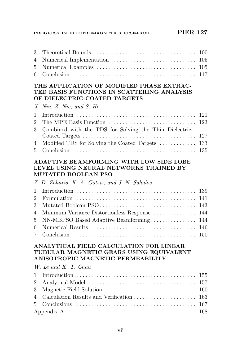# PROGRESS IN ELECTROMAGNETICS RESEARCH PIER 127

| 3<br>100                                                                                                                                                          |  |
|-------------------------------------------------------------------------------------------------------------------------------------------------------------------|--|
| 105<br>4                                                                                                                                                          |  |
| 105<br>5                                                                                                                                                          |  |
| 117<br>6                                                                                                                                                          |  |
| THE APPLICATION OF MODIFIED PHASE EXTRAC-<br>TED BASIS FUNCTIONS IN SCATTERING ANALYSIS<br>OF DIELECTRIC-COATED TARGETS                                           |  |
| X. Niu, Z. Nie, and S. He                                                                                                                                         |  |
| 121<br>1                                                                                                                                                          |  |
| The MPE Basis Function<br>$\overline{2}$<br>123                                                                                                                   |  |
| Combined with the TDS for Solving the Thin Dielectric-<br>3                                                                                                       |  |
| 127                                                                                                                                                               |  |
| Modified TDS for Solving the Coated Targets<br>133<br>4                                                                                                           |  |
| 135<br>5                                                                                                                                                          |  |
| ADAPTIVE BEAMFORMING WITH LOW SIDE LOBE<br>LEVEL USING NEURAL NETWORKS TRAINED BY<br><b>MUTATED BOOLEAN PSO</b><br>Z. D. Zaharis, K. A. Gotsis, and J. N. Sahalos |  |
| 139<br>1                                                                                                                                                          |  |
| $\overline{2}$<br>141                                                                                                                                             |  |
| 3<br>143                                                                                                                                                          |  |
| Minimum Variance Distortionless Response<br>144<br>4                                                                                                              |  |
| NN-MBPSO Based Adaptive Beamforming<br>144<br>5                                                                                                                   |  |
| 146<br>6                                                                                                                                                          |  |
| 150<br>7                                                                                                                                                          |  |
| ANALYTICAL FIELD CALCULATION FOR LINEAR<br>TUBULAR MAGNETIC GEARS USING EQUIVALENT<br>ANISOTROPIC MAGNETIC PERMEABILITY<br>W. Li and K. T. Chau                   |  |
| 1<br>155                                                                                                                                                          |  |
| $\overline{2}$<br>157                                                                                                                                             |  |
| 3<br>160                                                                                                                                                          |  |
| Calculation Results and Verification<br>4<br>163                                                                                                                  |  |
| 5<br>167                                                                                                                                                          |  |
| 168                                                                                                                                                               |  |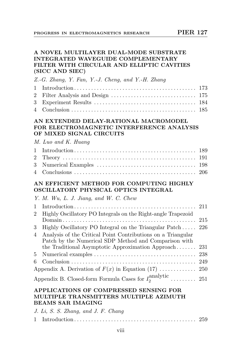#### A NOVEL MULTILAYER DUAL-MODE SUBSTRATE INTEGRATED WAVEGUIDE COMPLEMENTARY FILTER WITH CIRCULAR AND ELLIPTIC CAVITIES (SICC AND SIEC)

#### Z.-G. Zhang, Y. Fan, Y.-J. Cheng, and Y.-H. Zhang

#### AN EXTENDED DELAY-RATIONAL MACROMODEL FOR ELECTROMAGNETIC INTERFERENCE ANALYSIS OF MIXED SIGNAL CIRCUITS

#### M. Luo and K. Huang

#### AN EFFICIENT METHOD FOR COMPUTING HIGHLY OSCILLATORY PHYSICAL OPTICS INTEGRAL

| Y. M. Wu, L. J. Jiang, and W. C. Chew |  |  |
|---------------------------------------|--|--|
|---------------------------------------|--|--|

| 2              | Highly Oscillatory PO Integrals on the Right-angle Trapezoid          |  |
|----------------|-----------------------------------------------------------------------|--|
|                |                                                                       |  |
| $3 -$          | Highly Oscillatory PO Integral on the Triangular Patch 226            |  |
| $\overline{4}$ | Analysis of the Critical Point Contributions on a Triangular          |  |
|                | Patch by the Numerical SDP Method and Comparison with                 |  |
|                | the Traditional Asymptotic Approximation Approach 231                 |  |
|                |                                                                       |  |
|                |                                                                       |  |
|                |                                                                       |  |
|                | Appendix B. Closed-form Formula Cases for $I_2^{\text{analytic}}$ 251 |  |

#### APPLICATIONS OF COMPRESSED SENSING FOR MULTIPLE TRANSMITTERS MULTIPLE AZIMUTH BEAMS SAR IMAGING

| J. Li, S. S. Zhang, and J. F. Chang |  |
|-------------------------------------|--|
|                                     |  |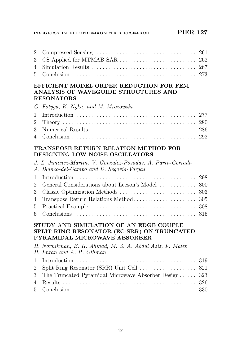#### PROGRESS IN ELECTROMAGNETICS RESEARCH PIER 127

#### EFFICIENT MODEL ORDER REDUCTION FOR FEM ANALYSIS OF WAVEGUIDE STRUCTURES AND RESONATORS

|  |  |  |  |  |  |  | G. Fotyga, K. Nyka, and M. Mrozowski |  |
|--|--|--|--|--|--|--|--------------------------------------|--|
|--|--|--|--|--|--|--|--------------------------------------|--|

#### TRANSPOSE RETURN RELATION METHOD FOR DESIGNING LOW NOISE OSCILLATORS

|                | J. L. Jimenez-Martin, V. Gonzalez-Posadas, A. Parra-Cerrada<br>A. Blanco-del-Campo and D. Segovia-Vargas                    |     |
|----------------|-----------------------------------------------------------------------------------------------------------------------------|-----|
| 1              |                                                                                                                             | 298 |
| $\overline{2}$ | General Considerations about Leeson's Model                                                                                 | 300 |
| 3              |                                                                                                                             | 303 |
| 4              | Transpose Return Relations Method                                                                                           | 305 |
| 5              |                                                                                                                             | 308 |
| 6              |                                                                                                                             | 315 |
|                | STUDY AND SIMULATION OF AN EDGE COUPLE<br>SPLIT RING RESONATOR (EC-SRR) ON TRUNCATED<br><b>PYRAMIDAL MICROWAVE ABSORBER</b> |     |
|                | H. Nornikman, B. H. Ahmad, M. Z. A. Abdul Aziz, F. Malek<br>H. Imran and A. R. Othman                                       |     |
| 1              |                                                                                                                             | 319 |
| $\overline{2}$ |                                                                                                                             | 321 |
| 3              | The Truncated Pyramidal Microwave Absorber Design                                                                           | 323 |
| 4              |                                                                                                                             |     |

5 Conclusion . . . . . . . . . . . . . . . . . . . . . . . . . . . . . . . . . . . . . . . . . . . . 330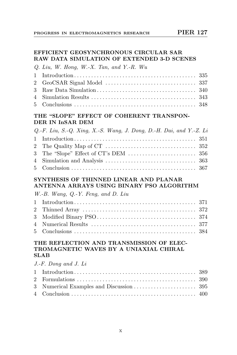#### EFFICIENT GEOSYNCHRONOUS CIRCULAR SAR RAW DATA SIMULATION OF EXTENDED 3-D SCENES

| Q. Liu, W. Hong, W.-X. Tan, and Y.-R. Wu |  |
|------------------------------------------|--|
|                                          |  |
|                                          |  |
|                                          |  |
|                                          |  |
|                                          |  |

### THE "SLOPE" EFFECT OF COHERENT TRANSPON-DER IN InSAR DEM

| $Q.-F.$ Liu, S.-Q. Xing, X.-S. Wang, J. Dong, D.-H. Dai, and Y.-Z. Li |  |
|-----------------------------------------------------------------------|--|
|                                                                       |  |
|                                                                       |  |
|                                                                       |  |
|                                                                       |  |
|                                                                       |  |

#### SYNTHESIS OF THINNED LINEAR AND PLANAR ANTENNA ARRAYS USING BINARY PSO ALGORITHM

W.-B. Wang, Q.-Y. Feng, and D. Liu

#### THE REFLECTION AND TRANSMISSION OF ELEC-TROMAGNETIC WAVES BY A UNIAXIAL CHIRAL SLAB

| $J.F.$ Dong and $J.$ Li |  |
|-------------------------|--|
|                         |  |
|                         |  |
|                         |  |
|                         |  |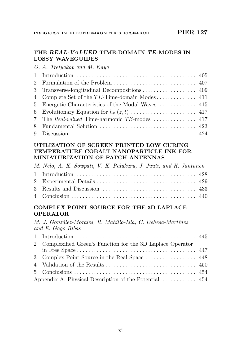#### THE REAL-VALUED TIME-DOMAIN TE-MODES IN LOSSY WAVEGUIDES

O. A. Tretyakov and M. Kaya

| 5 Energetic Characteristics of the Modal Waves  415 |  |
|-----------------------------------------------------|--|
|                                                     |  |
|                                                     |  |
|                                                     |  |
|                                                     |  |

#### UTILIZATION OF SCREEN PRINTED LOW CURING TEMPERATURE COBALT NANOPARTICLE INK FOR MINIATURIZATION OF PATCH ANTENNAS

M. Nelo, A. K. Sowpati, V. K. Palukuru, J. Juuti, and H. Jantunen

### COMPLEX POINT SOURCE FOR THE 3D LAPLACE OPERATOR

M. J. González-Morales, R. Mahillo-Isla, C. Dehesa-Martínez and E. Gago-Ribas

| 2 Complexified Green's Function for the 3D Laplace Operator |  |
|-------------------------------------------------------------|--|
|                                                             |  |
|                                                             |  |
|                                                             |  |
|                                                             |  |
|                                                             |  |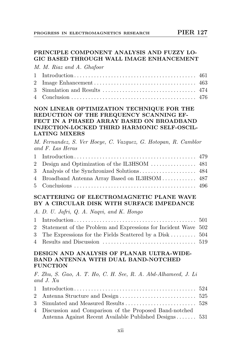#### PRINCIPLE COMPONENT ANALYSIS AND FUZZY LO-GIC BASED THROUGH WALL IMAGE ENHANCEMENT

M. M. Riaz and A. Ghafoor

#### NON LINEAR OPTIMIZATION TECHNIQUE FOR THE REDUCTION OF THE FREQUENCY SCANNING EF-FECT IN A PHASED ARRAY BASED ON BROADBAND INJECTION-LOCKED THIRD HARMONIC SELF-OSCIL-LATING MIXERS

M. Fernandez, S. Ver Hoeye, C. Vazquez, G. Hotopan, R. Camblor and F. Las Heras

| 4 Broadband Antenna Array Based on IL3HSOM 487 |  |
|------------------------------------------------|--|
|                                                |  |

#### SCATTERING OF ELECTROMAGNETIC PLANE WAVE BY A CIRCULAR DISK WITH SURFACE IMPEDANCE

|  |  |  | A. D. U. Jafri, Q. A. Naqvi, and K. Hongo |  |  |
|--|--|--|-------------------------------------------|--|--|
|  |  |  |                                           |  |  |

| 2 Statement of the Problem and Expressions for Incident Wave 502 |  |
|------------------------------------------------------------------|--|
| 3 The Expressions for the Fields Scattered by a Disk  504        |  |
|                                                                  |  |

#### DESIGN AND ANALYSIS OF PLANAR ULTRA-WIDE-BAND ANTENNA WITH DUAL BAND-NOTCHED FUNCTION

F. Zhu, S. Gao, A. T. Ho, C. H. See, R. A. Abd-Alhameed, J. Li and J. Xu

| 4 Discussion and Comparison of the Proposed Band-notched |  |
|----------------------------------------------------------|--|
| Antenna Against Recent Available Published Designs 531   |  |